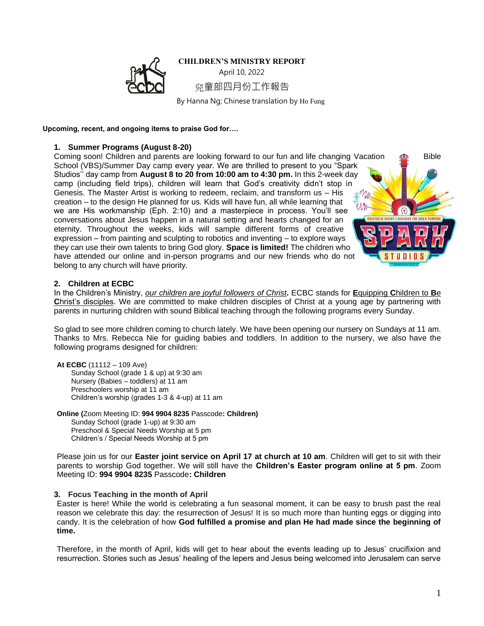## **CHILDREN'S MINISTRY REPORT**



April 10, 2022 童部四月份工作報告

By Hanna Ng; Chinese translation by Ho Fung

**Upcoming, recent, and ongoing items to praise God for….**

## **1. Summer Programs (August 8-20)**

Coming soon! Children and parents are looking forward to our fun and life changing Vacation  $\Box$  Bible School (VBS)/Summer Day camp every year. We are thrilled to present to you "Spark Studios'' day camp from **August 8 to 20 from 10:00 am to 4:30 pm.** In this 2-week day camp (including field trips), children will learn that God's creativity didn't stop in Genesis. The Master Artist is working to redeem, reclaim, and transform us – His creation – to the design He planned for us. Kids will have fun, all while learning that we are His workmanship (Eph. 2:10) and a masterpiece in process. You'll see conversations about Jesus happen in a natural setting and hearts changed for an eternity. Throughout the weeks, kids will sample different forms of creative expression – from painting and sculpting to robotics and inventing – to explore ways they can use their own talents to bring God glory. **Space is limited!** The children who have attended our online and in-person programs and our new friends who do not belong to any church will have priority.



### **2. Children at ECBC**

In the Children's Ministry, *our children are joyful followers of Christ.* ECBC stands for **E**quipping **C**hildren to **B**e **C**hrist's disciples. We are committed to make children disciples of Christ at a young age by partnering with parents in nurturing children with sound Biblical teaching through the following programs every Sunday.

So glad to see more children coming to church lately. We have been opening our nursery on Sundays at 11 am. Thanks to Mrs. Rebecca Nie for guiding babies and toddlers. In addition to the nursery, we also have the following programs designed for children:

**At ECBC** (11112 – 109 Ave) Sunday School (grade 1 & up) at 9:30 am Nursery (Babies – toddlers) at 11 am Preschoolers worship at 11 am Children's worship (grades 1-3 & 4-up) at 11 am

**Online (**Zoom Meeting ID: **994 9904 8235** Passcode**: Children)** Sunday School (grade 1-up) at 9:30 am Preschool & Special Needs Worship at 5 pm Children's / Special Needs Worship at 5 pm

Please join us for our **Easter joint service on April 17 at church at 10 am**. Children will get to sit with their parents to worship God together. We will still have the **Children's Easter program online at 5 pm**. Zoom Meeting ID: **994 9904 8235** Passcode**: Children**

### **3. Focus Teaching in the month of April**

Easter is here! While the world is celebrating a fun seasonal moment, it can be easy to brush past the real reason we celebrate this day: the resurrection of Jesus! It is so much more than hunting eggs or digging into candy. It is the celebration of how **God fulfilled a promise and plan He had made since the beginning of time.**

Therefore, in the month of April, kids will get to hear about the events leading up to Jesus' crucifixion and resurrection. Stories such as Jesus' healing of the lepers and Jesus being welcomed into Jerusalem can serve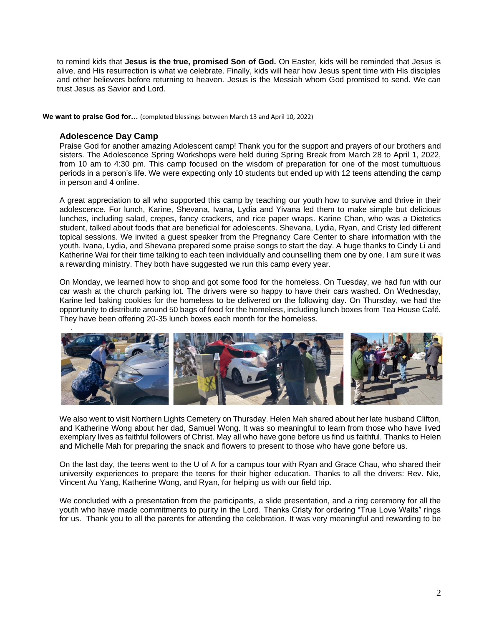to remind kids that **Jesus is the true, promised Son of God.** On Easter, kids will be reminded that Jesus is alive, and His resurrection is what we celebrate. Finally, kids will hear how Jesus spent time with His disciples and other believers before returning to heaven. Jesus is the Messiah whom God promised to send. We can trust Jesus as Savior and Lord.

**We want to praise God for…** (completed blessings between March 13 and April 10, 2022)

# **Adolescence Day Camp**

Praise God for another amazing Adolescent camp! Thank you for the support and prayers of our brothers and sisters. The Adolescence Spring Workshops were held during Spring Break from March 28 to April 1, 2022, from 10 am to 4:30 pm. This camp focused on the wisdom of preparation for one of the most tumultuous periods in a person's life. We were expecting only 10 students but ended up with 12 teens attending the camp in person and 4 online.

A great appreciation to all who supported this camp by teaching our youth how to survive and thrive in their adolescence. For lunch, Karine, Shevana, Ivana, Lydia and Yivana led them to make simple but delicious lunches, including salad, crepes, fancy crackers, and rice paper wraps. Karine Chan, who was a Dietetics student, talked about foods that are beneficial for adolescents. Shevana, Lydia, Ryan, and Cristy led different topical sessions. We invited a guest speaker from the Pregnancy Care Center to share information with the youth. Ivana, Lydia, and Shevana prepared some praise songs to start the day. A huge thanks to Cindy Li and Katherine Wai for their time talking to each teen individually and counselling them one by one. I am sure it was a rewarding ministry. They both have suggested we run this camp every year.

On Monday, we learned how to shop and got some food for the homeless. On Tuesday, we had fun with our car wash at the church parking lot. The drivers were so happy to have their cars washed. On Wednesday, Karine led baking cookies for the homeless to be delivered on the following day. On Thursday, we had the opportunity to distribute around 50 bags of food for the homeless, including lunch boxes from Tea House Café. They have been offering 20-35 lunch boxes each month for the homeless.



We also went to visit Northern Lights Cemetery on Thursday. Helen Mah shared about her late husband Clifton, and Katherine Wong about her dad, Samuel Wong. It was so meaningful to learn from those who have lived exemplary lives as faithful followers of Christ. May all who have gone before us find us faithful. Thanks to Helen and Michelle Mah for preparing the snack and flowers to present to those who have gone before us.

On the last day, the teens went to the U of A for a campus tour with Ryan and Grace Chau, who shared their university experiences to prepare the teens for their higher education. Thanks to all the drivers: Rev. Nie, Vincent Au Yang, Katherine Wong, and Ryan, for helping us with our field trip.

We concluded with a presentation from the participants, a slide presentation, and a ring ceremony for all the youth who have made commitments to purity in the Lord. Thanks Cristy for ordering "True Love Waits" rings for us. Thank you to all the parents for attending the celebration. It was very meaningful and rewarding to be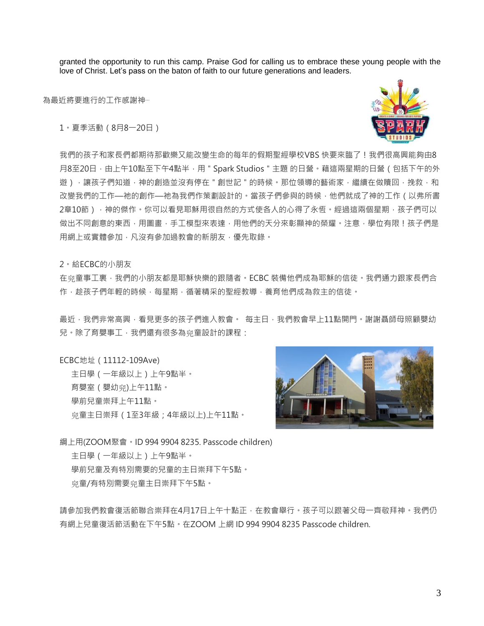granted the opportunity to run this camp. Praise God for calling us to embrace these young people with the love of Christ. Let's pass on the baton of faith to our future generations and leaders.

為最近將要進行的工作感謝神…

1。夏季活動(8月8一20日)



我們的孩子和家長們都期待那歡樂又能改變生命的每年的假期聖經學校VBS 快要來臨了!我們很高興能夠由8 月8至20日,由上午10點至下午4點半,用 " Spark Studios " 主題 的日營。藉這兩星期的日營 ( 包括下午的外 遊),讓孩子們知道,神的創造並沒有停在 " 創世記 " 的時候。那位領導的藝術家,繼續在做贖回,挽救,和 改變我們的工作—祂的創作—祂為我們作策劃設計的。當孩子們參與的時候,他們就成了神的工作(以弗所書 2章10節), 神的傑作。你可以看見耶穌用很自然的方式使各人的心得了永恆。經過這兩個星期, 孩子們可以 做出不同創意的東西,用圖書,手工模型來表達,用他們的天分來彰顯神的榮耀。注意,學位有限!孩子們是 用網上或實體參加,凡沒有參加過教會的新朋友,優先取錄。

2。給ECBC的小朋友

在 究童事工裏,我們的小朋友都是耶穌快樂的跟隨者。ECBC 裝備他們成為耶穌的信徒。我們通力跟家長們合 作,趁孩子們年輕的時候,每星期,循著精采的聖經教導,養育他們成為救主的信徒。

最沂,我們非常高興,看見更多的孩子們進入教會。 每主日,我們教會早上11點開門。謝謝聶師母照顧嬰幼 兒·除了育嬰事工,我們還有很多為**與童設計的課程**:

ECBC地址(11112-109Ave)

主日學(一年級以上)上午9點半。 育嬰室 (嬰幼兜)上午11點。 學前兒童崇拜上午11點。 童主日崇拜(1至3年級;4年級以上)上午11點。



綱上用(ZOOM聚會。ID 994 9904 8235. Passcode children)

主日學(一年級以上)上午9點半。 學前兒童及有特別需要的兒童的主日崇拜下午5點。 童/有特別需要童主日崇拜下午5點。

請參加我們教會復活節聯合崇拜在4月17日上午十點正,在教會舉行。孩子可以跟著父母一齊敬拜神。我們仍 有網上兒童復活節活動在下午5點。在ZOOM 上網 ID 994 9904 8235 Passcode children.